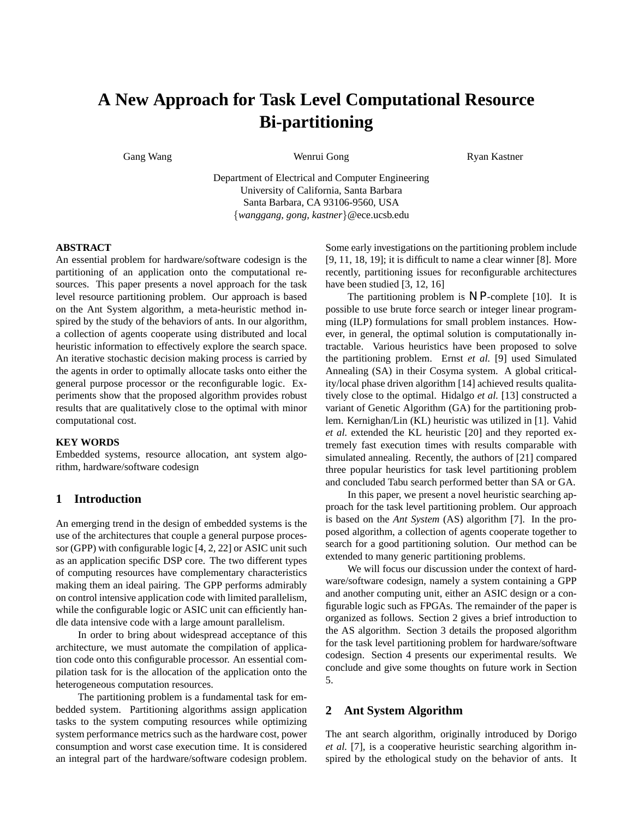# **A New Approach for Task Level Computational Resource Bi-partitioning**

Gang Wang **Cang Wang Cong Wenrui Gong** Cong Ryan Kastner

Department of Electrical and Computer Engineering University of California, Santa Barbara Santa Barbara, CA 93106-9560, USA {*wanggang, gong, kastner*}@ece.ucsb.edu

#### **ABSTRACT**

An essential problem for hardware/software codesign is the partitioning of an application onto the computational resources. This paper presents a novel approach for the task level resource partitioning problem. Our approach is based on the Ant System algorithm, a meta-heuristic method inspired by the study of the behaviors of ants. In our algorithm, a collection of agents cooperate using distributed and local heuristic information to effectively explore the search space. An iterative stochastic decision making process is carried by the agents in order to optimally allocate tasks onto either the general purpose processor or the reconfigurable logic. Experiments show that the proposed algorithm provides robust results that are qualitatively close to the optimal with minor computational cost.

### **KEY WORDS**

Embedded systems, resource allocation, ant system algorithm, hardware/software codesign

## **1 Introduction**

An emerging trend in the design of embedded systems is the use of the architectures that couple a general purpose processor (GPP) with configurable logic [4, 2, 22] or ASIC unit such as an application specific DSP core. The two different types of computing resources have complementary characteristics making them an ideal pairing. The GPP performs admirably on control intensive application code with limited parallelism, while the configurable logic or ASIC unit can efficiently handle data intensive code with a large amount parallelism.

In order to bring about widespread acceptance of this architecture, we must automate the compilation of application code onto this configurable processor. An essential compilation task for is the allocation of the application onto the heterogeneous computation resources.

The partitioning problem is a fundamental task for embedded system. Partitioning algorithms assign application tasks to the system computing resources while optimizing system performance metrics such as the hardware cost, power consumption and worst case execution time. It is considered an integral part of the hardware/software codesign problem. Some early investigations on the partitioning problem include [9, 11, 18, 19]; it is difficult to name a clear winner [8]. More recently, partitioning issues for reconfigurable architectures have been studied [3, 12, 16]

The partitioning problem is *N P*-complete [10]. It is possible to use brute force search or integer linear programming (ILP) formulations for small problem instances. However, in general, the optimal solution is computationally intractable. Various heuristics have been proposed to solve the partitioning problem. Ernst *et al.* [9] used Simulated Annealing (SA) in their Cosyma system. A global criticality/local phase driven algorithm [14] achieved results qualitatively close to the optimal. Hidalgo *et al.* [13] constructed a variant of Genetic Algorithm (GA) for the partitioning problem. Kernighan/Lin (KL) heuristic was utilized in [1]. Vahid *et al.* extended the KL heuristic [20] and they reported extremely fast execution times with results comparable with simulated annealing. Recently, the authors of [21] compared three popular heuristics for task level partitioning problem and concluded Tabu search performed better than SA or GA.

In this paper, we present a novel heuristic searching approach for the task level partitioning problem. Our approach is based on the *Ant System* (AS) algorithm [7]. In the proposed algorithm, a collection of agents cooperate together to search for a good partitioning solution. Our method can be extended to many generic partitioning problems.

We will focus our discussion under the context of hardware/software codesign, namely a system containing a GPP and another computing unit, either an ASIC design or a configurable logic such as FPGAs. The remainder of the paper is organized as follows. Section 2 gives a brief introduction to the AS algorithm. Section 3 details the proposed algorithm for the task level partitioning problem for hardware/software codesign. Section 4 presents our experimental results. We conclude and give some thoughts on future work in Section 5.

## **2 Ant System Algorithm**

The ant search algorithm, originally introduced by Dorigo *et al.* [7], is a cooperative heuristic searching algorithm inspired by the ethological study on the behavior of ants. It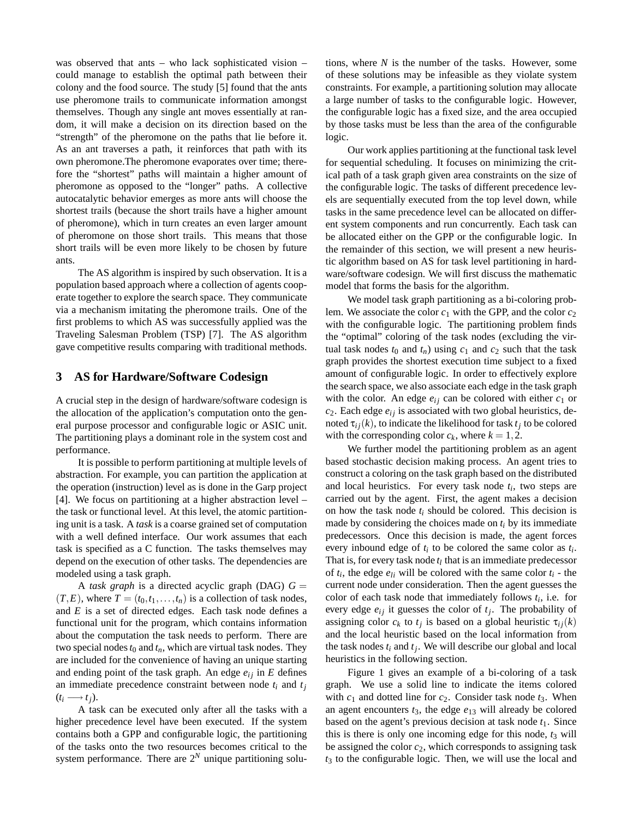was observed that ants – who lack sophisticated vision – could manage to establish the optimal path between their colony and the food source. The study [5] found that the ants use pheromone trails to communicate information amongst themselves. Though any single ant moves essentially at random, it will make a decision on its direction based on the "strength" of the pheromone on the paths that lie before it. As an ant traverses a path, it reinforces that path with its own pheromone.The pheromone evaporates over time; therefore the "shortest" paths will maintain a higher amount of pheromone as opposed to the "longer" paths. A collective autocatalytic behavior emerges as more ants will choose the shortest trails (because the short trails have a higher amount of pheromone), which in turn creates an even larger amount of pheromone on those short trails. This means that those short trails will be even more likely to be chosen by future ants.

The AS algorithm is inspired by such observation. It is a population based approach where a collection of agents cooperate together to explore the search space. They communicate via a mechanism imitating the pheromone trails. One of the first problems to which AS was successfully applied was the Traveling Salesman Problem (TSP) [7]. The AS algorithm gave competitive results comparing with traditional methods.

## **3 AS for Hardware/Software Codesign**

A crucial step in the design of hardware/software codesign is the allocation of the application's computation onto the general purpose processor and configurable logic or ASIC unit. The partitioning plays a dominant role in the system cost and performance.

It is possible to perform partitioning at multiple levels of abstraction. For example, you can partition the application at the operation (instruction) level as is done in the Garp project [4]. We focus on partitioning at a higher abstraction level – the task or functional level. At this level, the atomic partitioning unit is a task. A *task* is a coarse grained set of computation with a well defined interface. Our work assumes that each task is specified as a C function. The tasks themselves may depend on the execution of other tasks. The dependencies are modeled using a task graph.

A *task graph* is a directed acyclic graph (DAG)  $G =$  $(T, E)$ , where  $T = (t_0, t_1, \ldots, t_n)$  is a collection of task nodes, and *E* is a set of directed edges. Each task node defines a functional unit for the program, which contains information about the computation the task needs to perform. There are two special nodes  $t_0$  and  $t_n$ , which are virtual task nodes. They are included for the convenience of having an unique starting and ending point of the task graph. An edge  $e_{ij}$  in  $E$  defines an immediate precedence constraint between node *ti* and *tj*  $(t_i \rightarrow t_j)$ .

A task can be executed only after all the tasks with a higher precedence level have been executed. If the system contains both a GPP and configurable logic, the partitioning of the tasks onto the two resources becomes critical to the system performance. There are  $2^N$  unique partitioning solutions, where *N* is the number of the tasks. However, some of these solutions may be infeasible as they violate system constraints. For example, a partitioning solution may allocate a large number of tasks to the configurable logic. However, the configurable logic has a fixed size, and the area occupied by those tasks must be less than the area of the configurable logic.

Our work applies partitioning at the functional task level for sequential scheduling. It focuses on minimizing the critical path of a task graph given area constraints on the size of the configurable logic. The tasks of different precedence levels are sequentially executed from the top level down, while tasks in the same precedence level can be allocated on different system components and run concurrently. Each task can be allocated either on the GPP or the configurable logic. In the remainder of this section, we will present a new heuristic algorithm based on AS for task level partitioning in hardware/software codesign. We will first discuss the mathematic model that forms the basis for the algorithm.

We model task graph partitioning as a bi-coloring problem. We associate the color  $c_1$  with the GPP, and the color  $c_2$ with the configurable logic. The partitioning problem finds the "optimal" coloring of the task nodes (excluding the virtual task nodes  $t_0$  and  $t_n$ ) using  $c_1$  and  $c_2$  such that the task graph provides the shortest execution time subject to a fixed amount of configurable logic. In order to effectively explore the search space, we also associate each edge in the task graph with the color. An edge  $e_{ij}$  can be colored with either  $c_1$  or  $c_2$ . Each edge  $e_{ij}$  is associated with two global heuristics, denoted  $\tau_{ij}(k)$ , to indicate the likelihood for task  $t_j$  to be colored with the corresponding color  $c_k$ , where  $k = 1, 2$ .

We further model the partitioning problem as an agent based stochastic decision making process. An agent tries to construct a coloring on the task graph based on the distributed and local heuristics. For every task node  $t_i$ , two steps are carried out by the agent. First, the agent makes a decision on how the task node *ti* should be colored. This decision is made by considering the choices made on  $t_i$  by its immediate predecessors. Once this decision is made, the agent forces every inbound edge of *ti* to be colored the same color as *ti*. That is, for every task node  $t_l$  that is an immediate predecessor of  $t_i$ , the edge  $e_{li}$  will be colored with the same color  $t_i$  - the current node under consideration. Then the agent guesses the color of each task node that immediately follows *ti*, i.e. for every edge  $e_{ij}$  it guesses the color of  $t_i$ . The probability of assigning color  $c_k$  to  $t_j$  is based on a global heuristic  $\tau_{ij}(k)$ and the local heuristic based on the local information from the task nodes  $t_i$  and  $t_j$ . We will describe our global and local heuristics in the following section.

Figure 1 gives an example of a bi-coloring of a task graph. We use a solid line to indicate the items colored with  $c_1$  and dotted line for  $c_2$ . Consider task node  $t_3$ . When an agent encounters  $t_3$ , the edge  $e_{13}$  will already be colored based on the agent's previous decision at task node  $t_1$ . Since this is there is only one incoming edge for this node,  $t_3$  will be assigned the color *c*2, which corresponds to assigning task *t*<sup>3</sup> to the configurable logic. Then, we will use the local and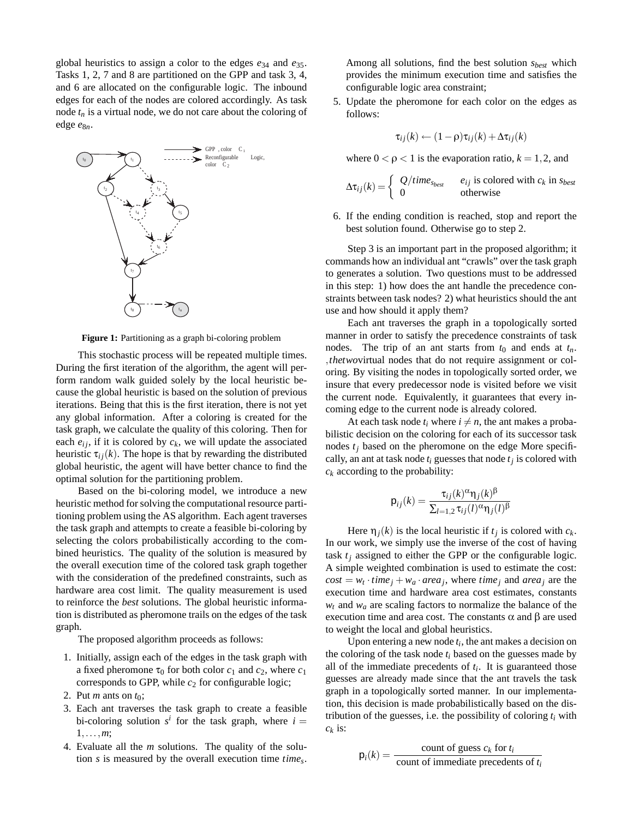global heuristics to assign a color to the edges *e*<sup>34</sup> and *e*35. Tasks 1, 2, 7 and 8 are partitioned on the GPP and task 3, 4, and 6 are allocated on the configurable logic. The inbound edges for each of the nodes are colored accordingly. As task node  $t_n$  is a virtual node, we do not care about the coloring of edge  $e_{8n}$ .



**Figure 1:** Partitioning as a graph bi-coloring problem

This stochastic process will be repeated multiple times. During the first iteration of the algorithm, the agent will perform random walk guided solely by the local heuristic because the global heuristic is based on the solution of previous iterations. Being that this is the first iteration, there is not yet any global information. After a coloring is created for the task graph, we calculate the quality of this coloring. Then for each  $e_{ij}$ , if it is colored by  $c_k$ , we will update the associated heuristic  $\tau_{ij}(k)$ . The hope is that by rewarding the distributed global heuristic, the agent will have better chance to find the optimal solution for the partitioning problem.

Based on the bi-coloring model, we introduce a new heuristic method for solving the computational resource partitioning problem using the AS algorithm. Each agent traverses the task graph and attempts to create a feasible bi-coloring by selecting the colors probabilistically according to the combined heuristics. The quality of the solution is measured by the overall execution time of the colored task graph together with the consideration of the predefined constraints, such as hardware area cost limit. The quality measurement is used to reinforce the *best* solutions. The global heuristic information is distributed as pheromone trails on the edges of the task graph.

The proposed algorithm proceeds as follows:

- 1. Initially, assign each of the edges in the task graph with a fixed pheromone  $\tau_0$  for both color  $c_1$  and  $c_2$ , where  $c_1$ corresponds to GPP, while  $c_2$  for configurable logic;
- 2. Put *m* ants on  $t_0$ ;
- 3. Each ant traverses the task graph to create a feasible bi-coloring solution  $s^i$  for the task graph, where  $i =$ 1*,...,m*;
- 4. Evaluate all the *m* solutions. The quality of the solution *s* is measured by the overall execution time *times*.

Among all solutions, find the best solution *sbest* which provides the minimum execution time and satisfies the configurable logic area constraint;

5. Update the pheromone for each color on the edges as follows:

$$
\tau_{ij}(k) \leftarrow (1 - \rho)\tau_{ij}(k) + \Delta \tau_{ij}(k)
$$

where  $0 < \rho < 1$  is the evaporation ratio,  $k = 1, 2$ , and

$$
\Delta \tau_{ij}(k) = \begin{cases} Q/time_{s_{best}} & e_{ij} \text{ is colored with } c_k \text{ in } s_{best} \\ 0 & \text{otherwise} \end{cases}
$$

6. If the ending condition is reached, stop and report the best solution found. Otherwise go to step 2.

Step 3 is an important part in the proposed algorithm; it commands how an individual ant "crawls" over the task graph to generates a solution. Two questions must to be addressed in this step: 1) how does the ant handle the precedence constraints between task nodes? 2) what heuristics should the ant use and how should it apply them?

Each ant traverses the graph in a topologically sorted manner in order to satisfy the precedence constraints of task nodes. The trip of an ant starts from  $t_0$  and ends at  $t_n$ . *,thetwo*virtual nodes that do not require assignment or coloring. By visiting the nodes in topologically sorted order, we insure that every predecessor node is visited before we visit the current node. Equivalently, it guarantees that every incoming edge to the current node is already colored.

At each task node  $t_i$  where  $i \neq n$ , the ant makes a probabilistic decision on the coloring for each of its successor task nodes  $t_i$  based on the pheromone on the edge More specifically, an ant at task node  $t_i$  guesses that node  $t_j$  is colored with  $c_k$  according to the probability:

$$
\mathsf{p}_{ij}(k) = \frac{\tau_{ij}(k)^{\alpha} \mathsf{n}_j(k)^{\beta}}{\sum_{l=1,2} \tau_{ij}(l)^{\alpha} \mathsf{n}_j(l)^{\beta}}
$$

Here  $\eta_i(k)$  is the local heuristic if  $t_i$  is colored with  $c_k$ . In our work, we simply use the inverse of the cost of having task  $t_i$  assigned to either the GPP or the configurable logic. A simple weighted combination is used to estimate the cost:  $cost = w_t \cdot time_j + w_a \cdot area_j$ , where *time<sub>j</sub>* and *area<sub>j</sub>* are the execution time and hardware area cost estimates, constants  $w_t$  and  $w_a$  are scaling factors to normalize the balance of the execution time and area cost. The constants  $\alpha$  and  $\beta$  are used to weight the local and global heuristics.

Upon entering a new node *ti*, the ant makes a decision on the coloring of the task node *ti* based on the guesses made by all of the immediate precedents of *ti*. It is guaranteed those guesses are already made since that the ant travels the task graph in a topologically sorted manner. In our implementation, this decision is made probabilistically based on the distribution of the guesses, i.e. the possibility of coloring  $t_i$  with  $c_k$  is:

$$
p_i(k) = \frac{\text{count of guess } c_k \text{ for } t_i}{\text{count of immediate precedents of } t_i}
$$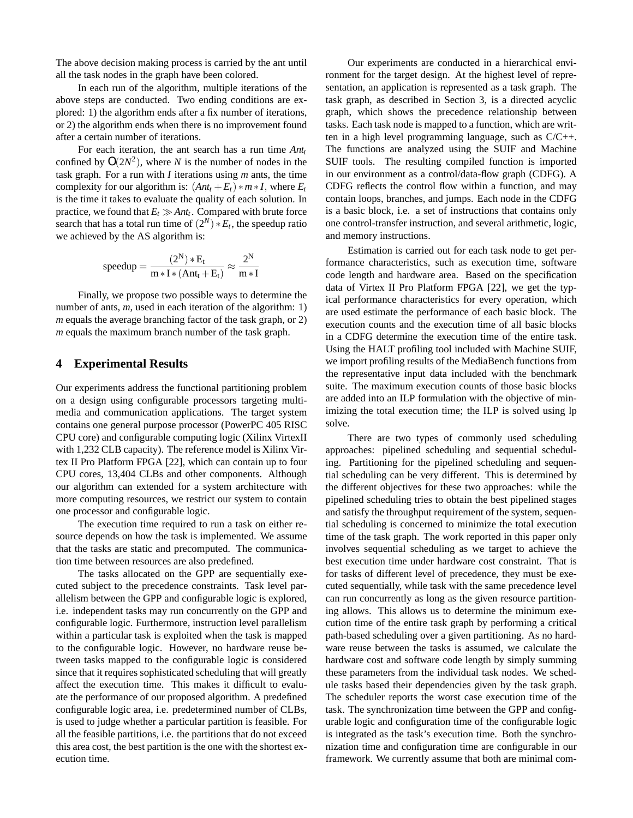The above decision making process is carried by the ant until all the task nodes in the graph have been colored.

In each run of the algorithm, multiple iterations of the above steps are conducted. Two ending conditions are explored: 1) the algorithm ends after a fix number of iterations, or 2) the algorithm ends when there is no improvement found after a certain number of iterations.

For each iteration, the ant search has a run time  $Ant<sub>t</sub>$ confined by  $O(2N^2)$ , where *N* is the number of nodes in the task graph. For a run with *I* iterations using *m* ants, the time complexity for our algorithm is:  $(Ant_t + E_t) * m * I$ , where  $E_t$ is the time it takes to evaluate the quality of each solution. In practice, we found that  $E_t \gg Ant_t$ . Compared with brute force search that has a total run time of  $(2^N) * E_t$ , the speedup ratio we achieved by the AS algorithm is:

$$
speedup = \frac{(2^N)*E_t}{m*I*(Ant_t+E_t)} \approx \frac{2^N}{m*I}
$$

Finally, we propose two possible ways to determine the number of ants, *m*, used in each iteration of the algorithm: 1) *m* equals the average branching factor of the task graph, or 2) *m* equals the maximum branch number of the task graph.

## **4 Experimental Results**

Our experiments address the functional partitioning problem on a design using configurable processors targeting multimedia and communication applications. The target system contains one general purpose processor (PowerPC 405 RISC CPU core) and configurable computing logic (Xilinx VirtexII with 1,232 CLB capacity). The reference model is Xilinx Virtex II Pro Platform FPGA [22], which can contain up to four CPU cores, 13,404 CLBs and other components. Although our algorithm can extended for a system architecture with more computing resources, we restrict our system to contain one processor and configurable logic.

The execution time required to run a task on either resource depends on how the task is implemented. We assume that the tasks are static and precomputed. The communication time between resources are also predefined.

The tasks allocated on the GPP are sequentially executed subject to the precedence constraints. Task level parallelism between the GPP and configurable logic is explored, i.e. independent tasks may run concurrently on the GPP and configurable logic. Furthermore, instruction level parallelism within a particular task is exploited when the task is mapped to the configurable logic. However, no hardware reuse between tasks mapped to the configurable logic is considered since that it requires sophisticated scheduling that will greatly affect the execution time. This makes it difficult to evaluate the performance of our proposed algorithm. A predefined configurable logic area, i.e. predetermined number of CLBs, is used to judge whether a particular partition is feasible. For all the feasible partitions, i.e. the partitions that do not exceed this area cost, the best partition is the one with the shortest execution time.

Our experiments are conducted in a hierarchical environment for the target design. At the highest level of representation, an application is represented as a task graph. The task graph, as described in Section 3, is a directed acyclic graph, which shows the precedence relationship between tasks. Each task node is mapped to a function, which are written in a high level programming language, such as C/C++. The functions are analyzed using the SUIF and Machine SUIF tools. The resulting compiled function is imported in our environment as a control/data-flow graph (CDFG). A CDFG reflects the control flow within a function, and may contain loops, branches, and jumps. Each node in the CDFG is a basic block, i.e. a set of instructions that contains only one control-transfer instruction, and several arithmetic, logic, and memory instructions.

Estimation is carried out for each task node to get performance characteristics, such as execution time, software code length and hardware area. Based on the specification data of Virtex II Pro Platform FPGA [22], we get the typical performance characteristics for every operation, which are used estimate the performance of each basic block. The execution counts and the execution time of all basic blocks in a CDFG determine the execution time of the entire task. Using the HALT profiling tool included with Machine SUIF, we import profiling results of the MediaBench functions from the representative input data included with the benchmark suite. The maximum execution counts of those basic blocks are added into an ILP formulation with the objective of minimizing the total execution time; the ILP is solved using lp solve.

There are two types of commonly used scheduling approaches: pipelined scheduling and sequential scheduling. Partitioning for the pipelined scheduling and sequential scheduling can be very different. This is determined by the different objectives for these two approaches: while the pipelined scheduling tries to obtain the best pipelined stages and satisfy the throughput requirement of the system, sequential scheduling is concerned to minimize the total execution time of the task graph. The work reported in this paper only involves sequential scheduling as we target to achieve the best execution time under hardware cost constraint. That is for tasks of different level of precedence, they must be executed sequentially, while task with the same precedence level can run concurrently as long as the given resource partitioning allows. This allows us to determine the minimum execution time of the entire task graph by performing a critical path-based scheduling over a given partitioning. As no hardware reuse between the tasks is assumed, we calculate the hardware cost and software code length by simply summing these parameters from the individual task nodes. We schedule tasks based their dependencies given by the task graph. The scheduler reports the worst case execution time of the task. The synchronization time between the GPP and configurable logic and configuration time of the configurable logic is integrated as the task's execution time. Both the synchronization time and configuration time are configurable in our framework. We currently assume that both are minimal com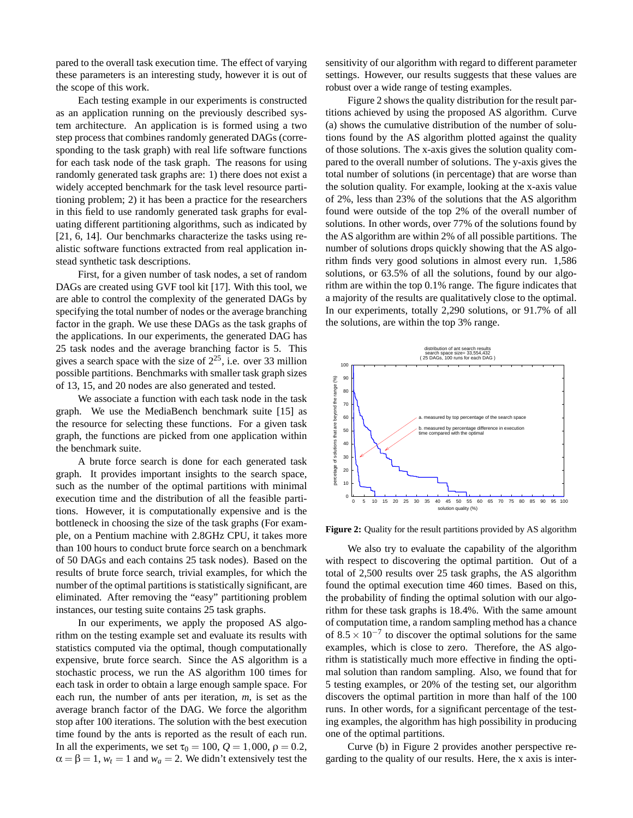pared to the overall task execution time. The effect of varying these parameters is an interesting study, however it is out of the scope of this work.

Each testing example in our experiments is constructed as an application running on the previously described system architecture. An application is is formed using a two step process that combines randomly generated DAGs (corresponding to the task graph) with real life software functions for each task node of the task graph. The reasons for using randomly generated task graphs are: 1) there does not exist a widely accepted benchmark for the task level resource partitioning problem; 2) it has been a practice for the researchers in this field to use randomly generated task graphs for evaluating different partitioning algorithms, such as indicated by [21, 6, 14]. Our benchmarks characterize the tasks using realistic software functions extracted from real application instead synthetic task descriptions.

First, for a given number of task nodes, a set of random DAGs are created using GVF tool kit [17]. With this tool, we are able to control the complexity of the generated DAGs by specifying the total number of nodes or the average branching factor in the graph. We use these DAGs as the task graphs of the applications. In our experiments, the generated DAG has 25 task nodes and the average branching factor is 5. This gives a search space with the size of  $2^{25}$ , i.e. over 33 million possible partitions. Benchmarks with smaller task graph sizes of 13, 15, and 20 nodes are also generated and tested.

We associate a function with each task node in the task graph. We use the MediaBench benchmark suite [15] as the resource for selecting these functions. For a given task graph, the functions are picked from one application within the benchmark suite.

A brute force search is done for each generated task graph. It provides important insights to the search space, such as the number of the optimal partitions with minimal execution time and the distribution of all the feasible partitions. However, it is computationally expensive and is the bottleneck in choosing the size of the task graphs (For example, on a Pentium machine with 2.8GHz CPU, it takes more than 100 hours to conduct brute force search on a benchmark of 50 DAGs and each contains 25 task nodes). Based on the results of brute force search, trivial examples, for which the number of the optimal partitions is statistically significant, are eliminated. After removing the "easy" partitioning problem instances, our testing suite contains 25 task graphs.

In our experiments, we apply the proposed AS algorithm on the testing example set and evaluate its results with statistics computed via the optimal, though computationally expensive, brute force search. Since the AS algorithm is a stochastic process, we run the AS algorithm 100 times for each task in order to obtain a large enough sample space. For each run, the number of ants per iteration, *m*, is set as the average branch factor of the DAG. We force the algorithm stop after 100 iterations. The solution with the best execution time found by the ants is reported as the result of each run. In all the experiments, we set  $\tau_0 = 100$ ,  $Q = 1,000$ ,  $\rho = 0.2$ ,  $\alpha = \beta = 1$ ,  $w_t = 1$  and  $w_a = 2$ . We didn't extensively test the sensitivity of our algorithm with regard to different parameter settings. However, our results suggests that these values are robust over a wide range of testing examples.

Figure 2 shows the quality distribution for the result partitions achieved by using the proposed AS algorithm. Curve (a) shows the cumulative distribution of the number of solutions found by the AS algorithm plotted against the quality of those solutions. The x-axis gives the solution quality compared to the overall number of solutions. The y-axis gives the total number of solutions (in percentage) that are worse than the solution quality. For example, looking at the x-axis value of 2%, less than 23% of the solutions that the AS algorithm found were outside of the top 2% of the overall number of solutions. In other words, over 77% of the solutions found by the AS algorithm are within 2% of all possible partitions. The number of solutions drops quickly showing that the AS algorithm finds very good solutions in almost every run. 1,586 solutions, or 63.5% of all the solutions, found by our algorithm are within the top 0.1% range. The figure indicates that a majority of the results are qualitatively close to the optimal. In our experiments, totally 2,290 solutions, or 91.7% of all the solutions, are within the top 3% range.



**Figure 2:** Quality for the result partitions provided by AS algorithm

We also try to evaluate the capability of the algorithm with respect to discovering the optimal partition. Out of a total of 2,500 results over 25 task graphs, the AS algorithm found the optimal execution time 460 times. Based on this, the probability of finding the optimal solution with our algorithm for these task graphs is 18.4%. With the same amount of computation time, a random sampling method has a chance of  $8.5 \times 10^{-7}$  to discover the optimal solutions for the same examples, which is close to zero. Therefore, the AS algorithm is statistically much more effective in finding the optimal solution than random sampling. Also, we found that for 5 testing examples, or 20% of the testing set, our algorithm discovers the optimal partition in more than half of the 100 runs. In other words, for a significant percentage of the testing examples, the algorithm has high possibility in producing one of the optimal partitions.

Curve (b) in Figure 2 provides another perspective regarding to the quality of our results. Here, the x axis is inter